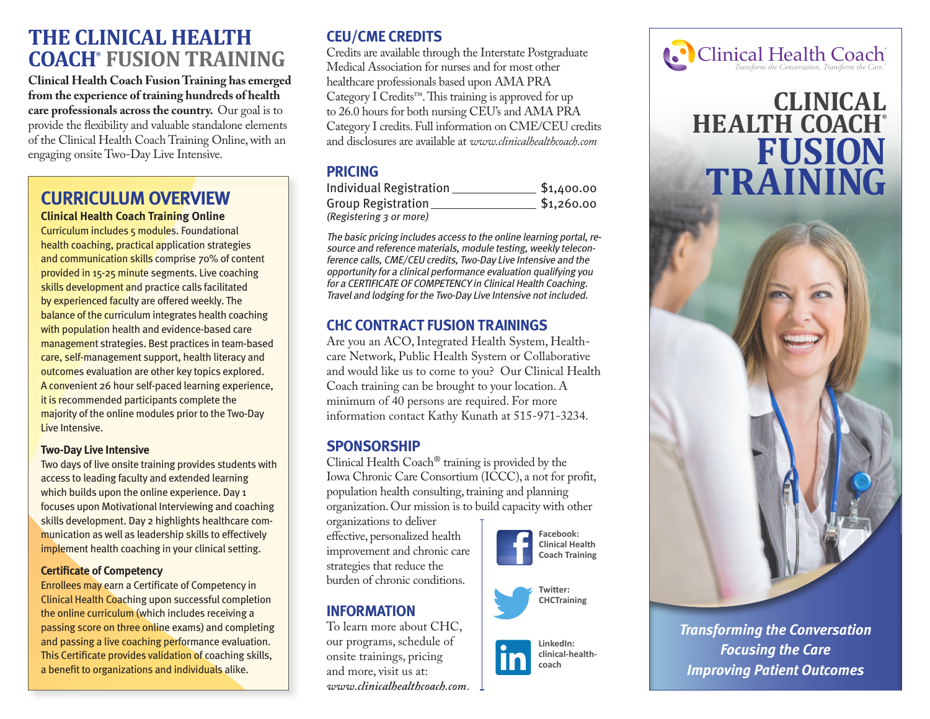# **THE CLINICAL HEALTH COACH® FUSION TRAINING**

**Clinical Health Coach Fusion Training has emerged from the experience of training hundreds of health care professionals across the country.** Our goal is to provide the flexibility and valuable standalone elements of the Clinical Health Coach Training Online, with an engaging onsite Two-Day Live Intensive.

#### **CURRICULUM OVERVIEW Clinical Health Coach Training Online**

Curriculum includes 5 modules. Foundational health coaching, practical application strategies and communication skills comprise 70% of content provided in 15-25 minute segments. Live coaching skills development and practice calls facilitated by experienced faculty are offered weekly. The balance of the curriculum integrates health coaching with population health and evidence-based care management strategies. Best practices in team-based care, self-management support, health literacy and outcomes evaluation are other key topics explored. A convenient 26 hour self-paced learning experience, it is recommended participants complete the majority of the online modules prior to the Two-Day Live Intensive.

#### **Two-Day Live Intensive**

Two days of live onsite training provides students with access to leading faculty and extended learning which builds upon the online experience. Day 1 focuses upon Motivational Interviewing and coaching skills development. Day 2 highlights healthcare communication as well as leadership skills to effectively implement health coaching in your clinical setting.

#### **Certificate of Competency**

Enrollees may earn a Certificate of Competency in Clinical Health Coaching upon successful completion the online curriculum (which includes receiving a passing score on three online exams) and completing and passing a live coaching performance evaluation. This Certificate provides validation of coaching skills, a benefit to organizations and individuals alike.

## **CEU/CME CREDITS**

Credits are available through the Interstate Postgraduate Medical Association for nurses and for most other healthcare professionals based upon AMA PRA Category I Credits™. This training is approved for up to 26.0 hours for both nursing CEU's and AMA PRA Category I credits. Full information on CME/CEU credits and disclosures are available at *www.clinicalhealthcoach.com*

## **PRICING**

| Individual Registration | \$1,400.00 |
|-------------------------|------------|
| Group Registration      | \$1,260.00 |
| (Registering 3 or more) |            |

The basic pricing includes access to the online learning portal, resource and reference materials, module testing, weekly teleconference calls, CME/CEU credits, Two-Day Live Intensive and the opportunity for a clinical performance evaluation qualifying you for a CERTIFICATE OF COMPETENCY in Clinical Health Coaching. Travel and lodging for the Two-Day Live Intensive not included.

## **CHC CONTRACT FUSION TRAININGS**

Are you an ACO, Integrated Health System, Healthcare Network, Public Health System or Collaborative and would like us to come to you? Our Clinical Health Coach training can be brought to your location. A minimum of 40 persons are required. For more information contact Kathy Kunath at 515-971-3234.

#### **SPONSORSHIP**

Clinical Health Coach® training is provided by the Iowa Chronic Care Consortium (ICCC), a not for profit, population health consulting, training and planning organization. Our mission is to build capacity with other

organizations to deliver effective, personalized health improvement and chronic care strategies that reduce the burden of chronic conditions.

## **INFORMATION**

To learn more about CHC, our programs, schedule of onsite trainings, pricing and more, visit us at: *www.clinicalhealthcoach.com*.







**LinkedIn: clinical-healthcoach**



# **CLINICAL HEALTH COACH® FUSION TRAINING**



*Transforming the Conversation Focusing the Care Improving Patient Outcomes*